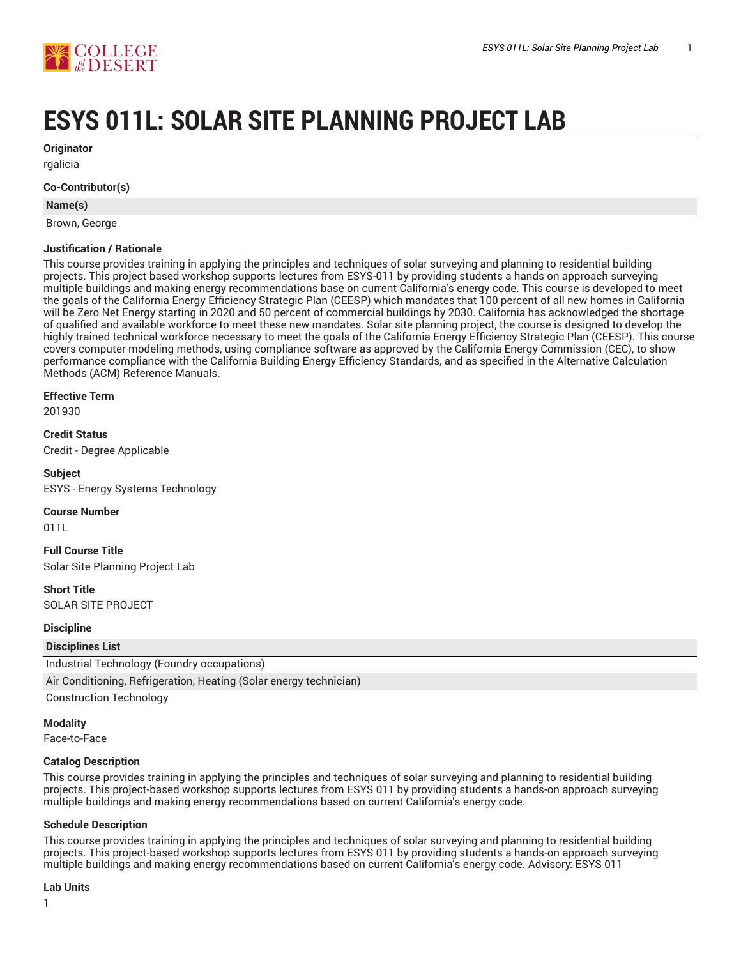

# **ESYS 011L: SOLAR SITE PLANNING PROJECT LAB**

**Originator**

rgalicia

## **Co-Contributor(s)**

#### **Name(s)**

Brown, George

## **Justification / Rationale**

This course provides training in applying the principles and techniques of solar surveying and planning to residential building projects. This project based workshop supports lectures from ESYS-011 by providing students a hands on approach surveying multiple buildings and making energy recommendations base on current California's energy code. This course is developed to meet the goals of the California Energy Efficiency Strategic Plan (CEESP) which mandates that 100 percent of all new homes in California will be Zero Net Energy starting in 2020 and 50 percent of commercial buildings by 2030. California has acknowledged the shortage of qualified and available workforce to meet these new mandates. Solar site planning project, the course is designed to develop the highly trained technical workforce necessary to meet the goals of the California Energy Efficiency Strategic Plan (CEESP). This course covers computer modeling methods, using compliance software as approved by the California Energy Commission (CEC), to show performance compliance with the California Building Energy Efficiency Standards, and as specified in the Alternative Calculation Methods (ACM) Reference Manuals.

## **Effective Term**

201930

**Credit Status** Credit - Degree Applicable

**Subject** ESYS - Energy Systems Technology

## **Course Number**

011L

**Full Course Title** Solar Site Planning Project Lab

**Short Title** SOLAR SITE PROJECT

**Discipline**

**Disciplines List**

Industrial Technology (Foundry occupations)

Air Conditioning, Refrigeration, Heating (Solar energy technician)

Construction Technology

## **Modality**

Face-to-Face

## **Catalog Description**

This course provides training in applying the principles and techniques of solar surveying and planning to residential building projects. This project-based workshop supports lectures from ESYS 011 by providing students a hands-on approach surveying multiple buildings and making energy recommendations based on current California's energy code.

## **Schedule Description**

This course provides training in applying the principles and techniques of solar surveying and planning to residential building projects. This project-based workshop supports lectures from ESYS 011 by providing students a hands-on approach surveying multiple buildings and making energy recommendations based on current California's energy code. Advisory: ESYS 011

## **Lab Units**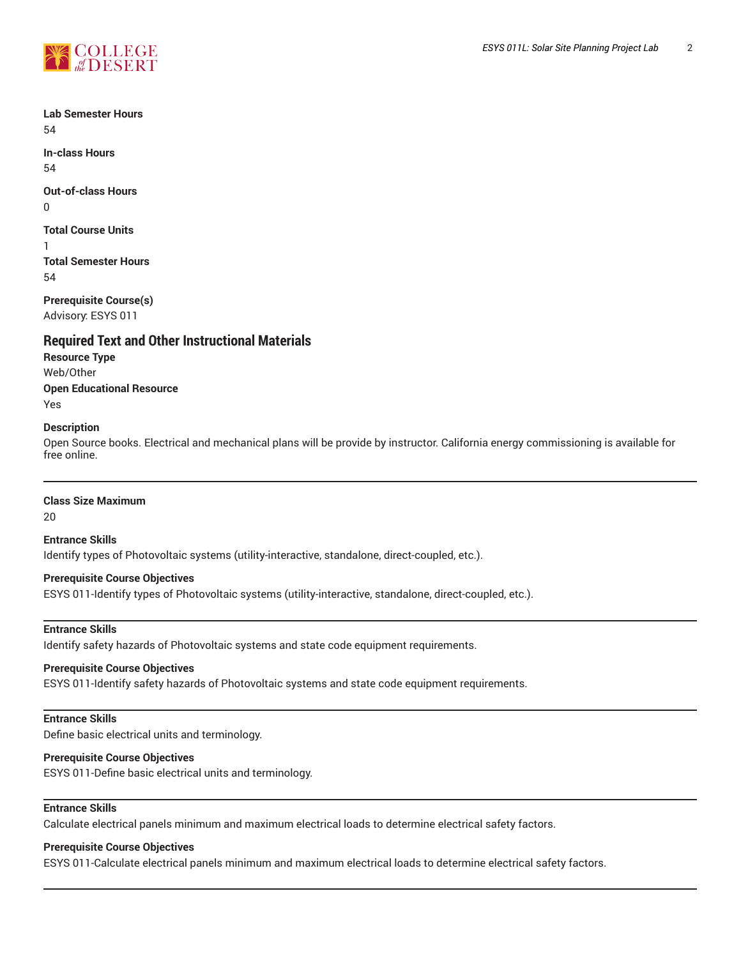

**Lab Semester Hours** 54

**In-class Hours** 54

**Out-of-class Hours**

0

**Total Course Units**

1

**Total Semester Hours** 54

**Prerequisite Course(s)** Advisory: ESYS 011

## **Required Text and Other Instructional Materials**

**Resource Type** Web/Other **Open Educational Resource** Yes

## **Description**

Open Source books. Electrical and mechanical plans will be provide by instructor. California energy commissioning is available for free online.

## **Class Size Maximum**

20

**Entrance Skills** Identify types of Photovoltaic systems (utility-interactive, standalone, direct-coupled, etc.).

## **Prerequisite Course Objectives**

ESYS 011-Identify types of Photovoltaic systems (utility-interactive, standalone, direct-coupled, etc.).

## **Entrance Skills**

Identify safety hazards of Photovoltaic systems and state code equipment requirements.

## **Prerequisite Course Objectives**

ESYS 011-Identify safety hazards of Photovoltaic systems and state code equipment requirements.

## **Entrance Skills**

Define basic electrical units and terminology.

## **Prerequisite Course Objectives**

ESYS 011-Define basic electrical units and terminology.

## **Entrance Skills**

Calculate electrical panels minimum and maximum electrical loads to determine electrical safety factors.

## **Prerequisite Course Objectives**

ESYS 011-Calculate electrical panels minimum and maximum electrical loads to determine electrical safety factors.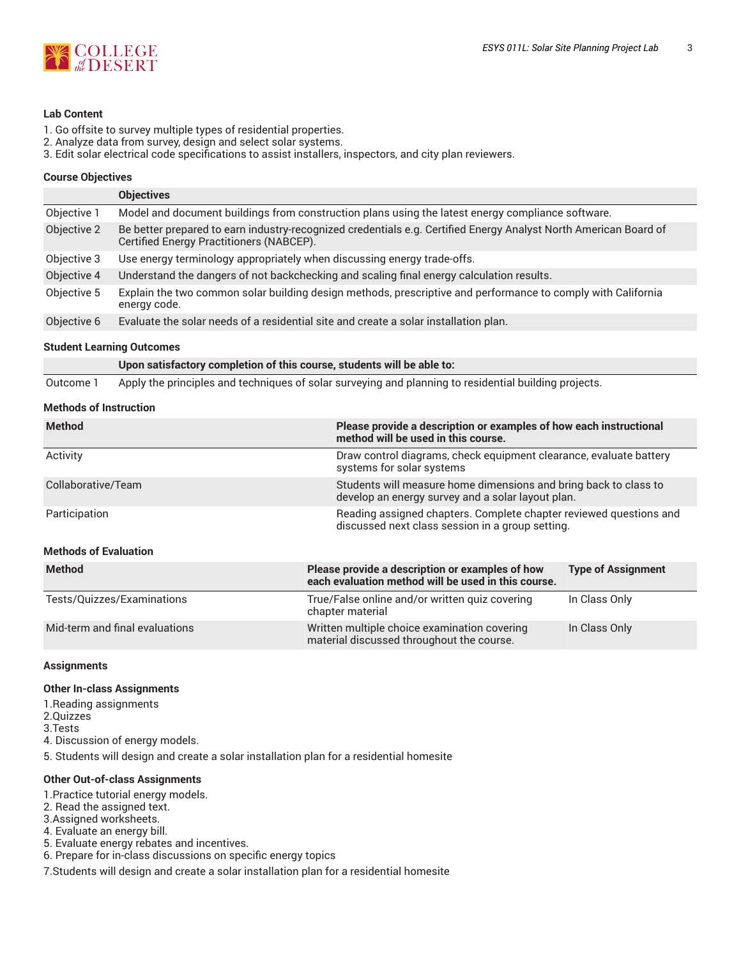

## **Lab Content**

- 1. Go offsite to survey multiple types of residential properties.
- 2. Analyze data from survey, design and select solar systems.
- 3. Edit solar electrical code specifications to assist installers, inspectors, and city plan reviewers.

#### **Course Objectives**

|             | <b>Objectives</b>                                                                                                                                            |
|-------------|--------------------------------------------------------------------------------------------------------------------------------------------------------------|
| Objective 1 | Model and document buildings from construction plans using the latest energy compliance software.                                                            |
| Objective 2 | Be better prepared to earn industry-recognized credentials e.g. Certified Energy Analyst North American Board of<br>Certified Energy Practitioners (NABCEP). |
| Objective 3 | Use energy terminology appropriately when discussing energy trade-offs.                                                                                      |
| Objective 4 | Understand the dangers of not backchecking and scaling final energy calculation results.                                                                     |
| Objective 5 | Explain the two common solar building design methods, prescriptive and performance to comply with California<br>energy code.                                 |
| Objective 6 | Evaluate the solar needs of a residential site and create a solar installation plan.                                                                         |

#### **Student Learning Outcomes**

**Upon satisfactory completion of this course, students will be able to:** Outcome 1 Apply the principles and techniques of solar surveying and planning to residential building projects.

## **Methods of Instruction**

| <b>Method</b>                  | Please provide a description or examples of how each instructional<br>method will be used in this course. |                                                                                                                        |  |
|--------------------------------|-----------------------------------------------------------------------------------------------------------|------------------------------------------------------------------------------------------------------------------------|--|
| Activity                       | Draw control diagrams, check equipment clearance, evaluate battery<br>systems for solar systems           |                                                                                                                        |  |
| Collaborative/Team             |                                                                                                           | Students will measure home dimensions and bring back to class to<br>develop an energy survey and a solar layout plan.  |  |
| Participation                  |                                                                                                           | Reading assigned chapters. Complete chapter reviewed questions and<br>discussed next class session in a group setting. |  |
| <b>Methods of Evaluation</b>   |                                                                                                           |                                                                                                                        |  |
| <b>Method</b>                  | Please provide a description or examples of how<br>each evaluation method will be used in this course.    | <b>Type of Assignment</b>                                                                                              |  |
| Tests/Quizzes/Examinations     | True/False online and/or written quiz covering<br>chapter material                                        | In Class Only                                                                                                          |  |
| Mid-term and final evaluations | Written multiple choice examination covering                                                              | In Class Only                                                                                                          |  |

material discussed throughout the course.

#### **Assignments**

#### **Other In-class Assignments**

- 1.Reading assignments
- 2.Quizzes
- 3.Tests
- 4. Discussion of energy models.
- 5. Students will design and create a solar installation plan for a residential homesite

#### **Other Out-of-class Assignments**

- 1.Practice tutorial energy models.
- 2. Read the assigned text.
- 3.Assigned worksheets.
- 4. Evaluate an energy bill.
- 5. Evaluate energy rebates and incentives.
- 6. Prepare for in-class discussions on specific energy topics

7.Students will design and create a solar installation plan for a residential homesite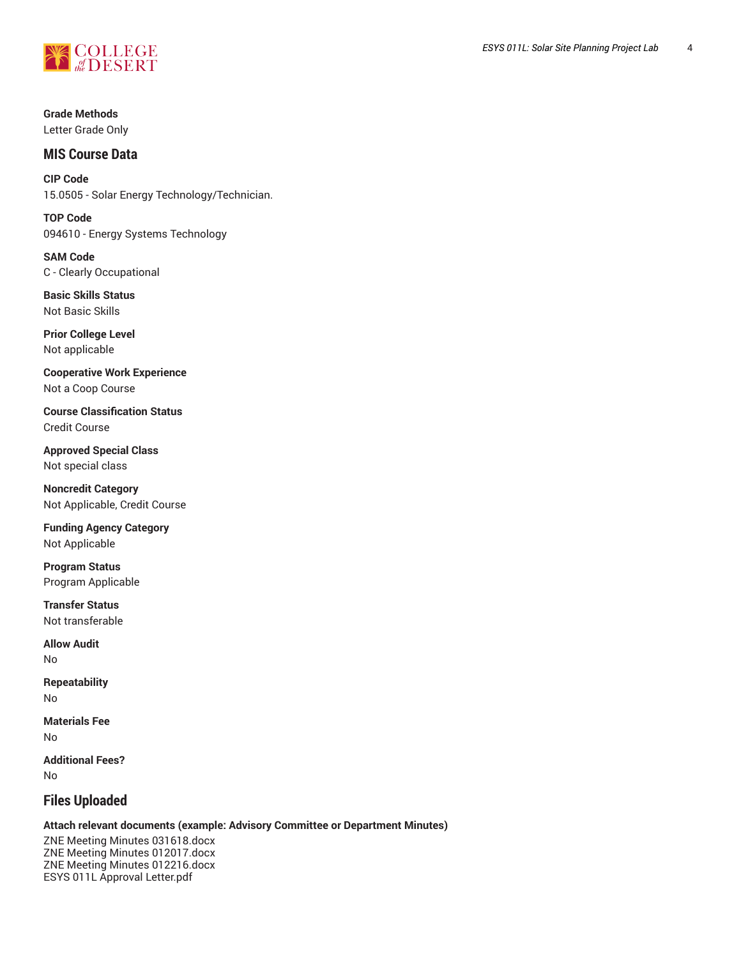

## **MIS Course Data**

**CIP Code** 15.0505 - Solar Energy Technology/Technician.

**TOP Code** 094610 - Energy Systems Technology

**SAM Code** C - Clearly Occupational

**Basic Skills Status** Not Basic Skills

**Prior College Level** Not applicable

**Cooperative Work Experience** Not a Coop Course

**Course Classification Status** Credit Course

**Approved Special Class** Not special class

**Noncredit Category** Not Applicable, Credit Course

**Funding Agency Category** Not Applicable

**Program Status** Program Applicable

**Transfer Status** Not transferable

**Allow Audit** No

**Repeatability** No

**Materials Fee** No

**Additional Fees?** No

# **Files Uploaded**

## **Attach relevant documents (example: Advisory Committee or Department Minutes)**

ZNE Meeting Minutes 031618.docx ZNE Meeting Minutes 012017.docx ZNE Meeting Minutes 012216.docx ESYS 011L Approval Letter.pdf